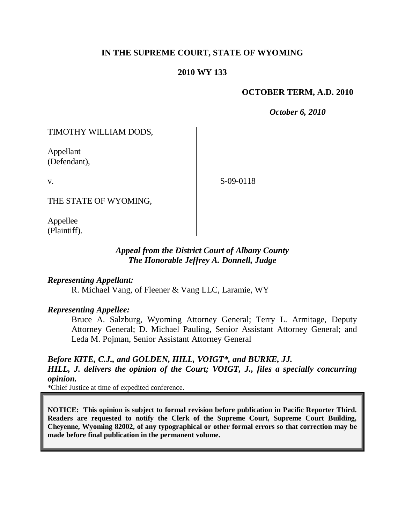# **IN THE SUPREME COURT, STATE OF WYOMING**

### **2010 WY 133**

#### **OCTOBER TERM, A.D. 2010**

*October 6, 2010*

TIMOTHY WILLIAM DODS,

Appellant (Defendant),

v.

S-09-0118

THE STATE OF WYOMING,

Appellee (Plaintiff).

### *Appeal from the District Court of Albany County The Honorable Jeffrey A. Donnell, Judge*

#### *Representing Appellant:*

R. Michael Vang, of Fleener & Vang LLC, Laramie, WY

#### *Representing Appellee:*

Bruce A. Salzburg, Wyoming Attorney General; Terry L. Armitage, Deputy Attorney General; D. Michael Pauling, Senior Assistant Attorney General; and Leda M. Pojman, Senior Assistant Attorney General

# *Before KITE, C.J., and GOLDEN, HILL, VOIGT\*, and BURKE, JJ.*

*HILL, J. delivers the opinion of the Court; VOIGT, J., files a specially concurring opinion.*

\*Chief Justice at time of expedited conference.

**NOTICE: This opinion is subject to formal revision before publication in Pacific Reporter Third. Readers are requested to notify the Clerk of the Supreme Court, Supreme Court Building, Cheyenne, Wyoming 82002, of any typographical or other formal errors so that correction may be made before final publication in the permanent volume.**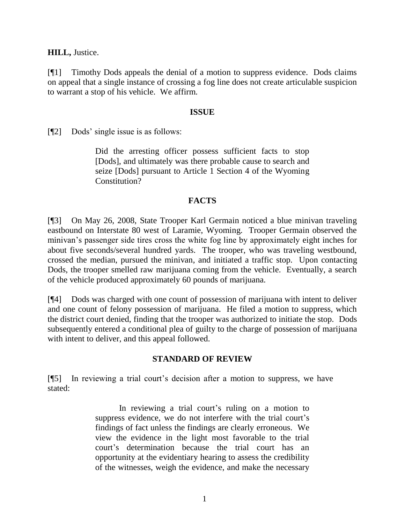**HILL,** Justice.

[¶1] Timothy Dods appeals the denial of a motion to suppress evidence. Dods claims on appeal that a single instance of crossing a fog line does not create articulable suspicion to warrant a stop of his vehicle. We affirm.

#### **ISSUE**

[¶2] Dods" single issue is as follows:

Did the arresting officer possess sufficient facts to stop [Dods], and ultimately was there probable cause to search and seize [Dods] pursuant to Article 1 Section 4 of the Wyoming Constitution?

## **FACTS**

[¶3] On May 26, 2008, State Trooper Karl Germain noticed a blue minivan traveling eastbound on Interstate 80 west of Laramie, Wyoming. Trooper Germain observed the minivan"s passenger side tires cross the white fog line by approximately eight inches for about five seconds/several hundred yards. The trooper, who was traveling westbound, crossed the median, pursued the minivan, and initiated a traffic stop. Upon contacting Dods, the trooper smelled raw marijuana coming from the vehicle. Eventually, a search of the vehicle produced approximately 60 pounds of marijuana.

[¶4] Dods was charged with one count of possession of marijuana with intent to deliver and one count of felony possession of marijuana. He filed a motion to suppress, which the district court denied, finding that the trooper was authorized to initiate the stop. Dods subsequently entered a conditional plea of guilty to the charge of possession of marijuana with intent to deliver, and this appeal followed.

# **STANDARD OF REVIEW**

[¶5] In reviewing a trial court"s decision after a motion to suppress, we have stated:

> In reviewing a trial court's ruling on a motion to suppress evidence, we do not interfere with the trial court's findings of fact unless the findings are clearly erroneous. We view the evidence in the light most favorable to the trial court"s determination because the trial court has an opportunity at the evidentiary hearing to assess the credibility of the witnesses, weigh the evidence, and make the necessary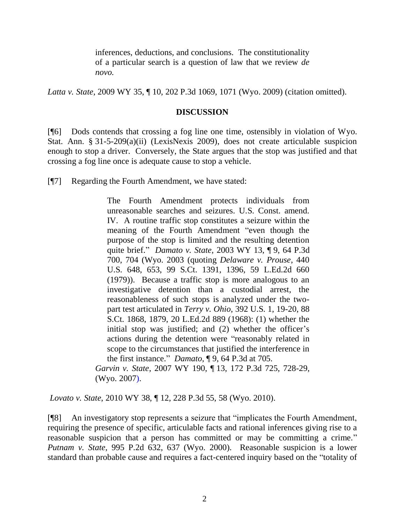inferences, deductions, and conclusions. The constitutionality of a particular search is a question of law that we review *de novo.* 

*Latta v. State*, 2009 WY 35, ¶ 10, 202 P.3d 1069, 1071 (Wyo. 2009) (citation omitted).

### **DISCUSSION**

[¶6] Dods contends that crossing a fog line one time, ostensibly in violation of Wyo. Stat. Ann. § 31-5-209(a)(ii) (LexisNexis 2009), does not create articulable suspicion enough to stop a driver. Conversely, the State argues that the stop was justified and that crossing a fog line once is adequate cause to stop a vehicle.

[¶7] Regarding the Fourth Amendment, we have stated:

The Fourth Amendment protects individuals from unreasonable searches and seizures. U.S. Const. amend. IV. A routine traffic stop constitutes a seizure within the meaning of the Fourth Amendment "even though the purpose of the stop is limited and the resulting detention quite brief." *Damato v. State*, 2003 WY 13, ¶ 9, 64 P.3d 700, 704 (Wyo. 2003 (quoting *Delaware v. Prouse*, 440 U.S. 648, 653, 99 S.Ct. 1391, 1396, 59 L.Ed.2d 660 (1979)). Because a traffic stop is more analogous to an investigative detention than a custodial arrest, the reasonableness of such stops is analyzed under the twopart test articulated in *Terry v. Ohio*, 392 U.S. 1, 19-20, 88 S.Ct. 1868, 1879, 20 L.Ed.2d 889 (1968): (1) whether the initial stop was justified; and (2) whether the officer's actions during the detention were "reasonably related in scope to the circumstances that justified the interference in the first instance." *Damato*, ¶ 9, 64 P.3d at 705.

*Garvin v. State*, 2007 WY 190, ¶ 13, 172 P.3d 725, 728-29, (Wyo. 2007).

*Lovato v. State*, 2010 WY 38, ¶ 12, 228 P.3d 55, 58 (Wyo. 2010).

[¶8] An investigatory stop represents a seizure that "implicates the Fourth Amendment, requiring the presence of specific, articulable facts and rational inferences giving rise to a reasonable suspicion that a person has committed or may be committing a crime." *Putnam v. State*, 995 P.2d 632, 637 (Wyo. 2000). Reasonable suspicion is a lower standard than probable cause and requires a fact-centered inquiry based on the "totality of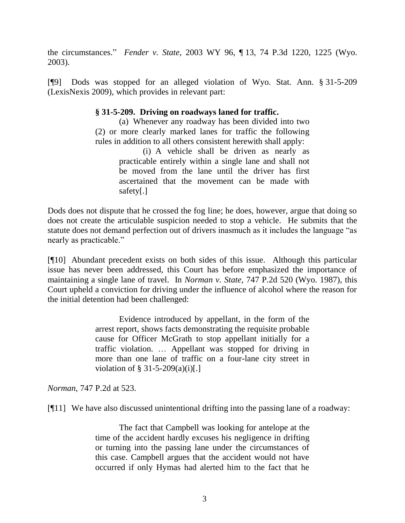the circumstances." *Fender v. State*, 2003 WY 96, ¶ 13, 74 P.3d 1220, 1225 (Wyo. 2003).

[¶9] Dods was stopped for an alleged violation of Wyo. Stat. Ann. § 31-5-209 (LexisNexis 2009), which provides in relevant part:

### **§ 31-5-209. Driving on roadways laned for traffic.**

(a) Whenever any roadway has been divided into two (2) or more clearly marked lanes for traffic the following rules in addition to all others consistent herewith shall apply:

> (i) A vehicle shall be driven as nearly as practicable entirely within a single lane and shall not be moved from the lane until the driver has first ascertained that the movement can be made with safety[.]

Dods does not dispute that he crossed the fog line; he does, however, argue that doing so does not create the articulable suspicion needed to stop a vehicle. He submits that the statute does not demand perfection out of drivers inasmuch as it includes the language "as nearly as practicable."

[¶10] Abundant precedent exists on both sides of this issue. Although this particular issue has never been addressed, this Court has before emphasized the importance of maintaining a single lane of travel. In *Norman v. State*, 747 P.2d 520 (Wyo. 1987), this Court upheld a conviction for driving under the influence of alcohol where the reason for the initial detention had been challenged:

> Evidence introduced by appellant, in the form of the arrest report, shows facts demonstrating the requisite probable cause for Officer McGrath to stop appellant initially for a traffic violation. … Appellant was stopped for driving in more than one lane of traffic on a four-lane city street in violation of  $\S 31-5-209(a)(i)$ [.]

*Norman*, 747 P.2d at 523.

[¶11] We have also discussed unintentional drifting into the passing lane of a roadway:

The fact that Campbell was looking for antelope at the time of the accident hardly excuses his negligence in drifting or turning into the passing lane under the circumstances of this case. Campbell argues that the accident would not have occurred if only Hymas had alerted him to the fact that he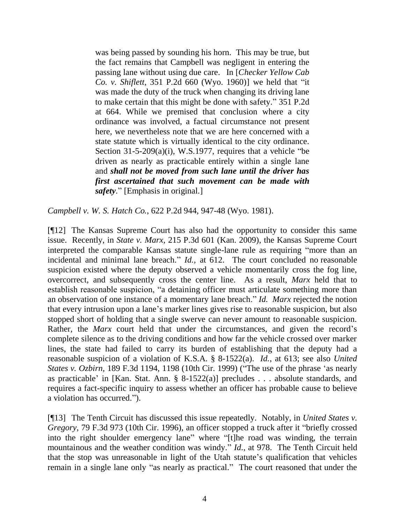was being passed by sounding his horn. This may be true, but the fact remains that Campbell was negligent in entering the passing lane without using due care. In [*Checker Yellow Cab Co. v. Shiflett*, 351 P.2d 660 (Wyo. 1960)] we held that "it was made the duty of the truck when changing its driving lane to make certain that this might be done with safety." 351 P.2d at 664. While we premised that conclusion where a city ordinance was involved, a factual circumstance not present here, we nevertheless note that we are here concerned with a state statute which is virtually identical to the city ordinance. Section 31-5-209(a)(i), W.S.1977, requires that a vehicle "be driven as nearly as practicable entirely within a single lane and *shall not be moved from such lane until the driver has first ascertained that such movement can be made with safety*." [Emphasis in original.]

*Campbell v. W. S. Hatch Co.*, 622 P.2d 944, 947-48 (Wyo. 1981).

[¶12] The Kansas Supreme Court has also had the opportunity to consider this same issue. Recently, in *State v. Marx*, 215 P.3d 601 (Kan. 2009), the Kansas Supreme Court interpreted the comparable Kansas statute single-lane rule as requiring "more than an incidental and minimal lane breach." *Id.*, at 612. The court concluded no reasonable suspicion existed where the deputy observed a vehicle momentarily cross the fog line, overcorrect, and subsequently cross the center line. As a result, *Marx* held that to establish reasonable suspicion, "a detaining officer must articulate something more than an observation of one instance of a momentary lane breach." *Id. Marx* rejected the notion that every intrusion upon a lane"s marker lines gives rise to reasonable suspicion, but also stopped short of holding that a single swerve can never amount to reasonable suspicion. Rather, the *Marx* court held that under the circumstances, and given the record's complete silence as to the driving conditions and how far the vehicle crossed over marker lines, the state had failed to carry its burden of establishing that the deputy had a reasonable suspicion of a violation of K.S.A. § 8-1522(a). *Id.*, at 613; see also *United States v. Ozbirn,* 189 F.3d 1194, 1198 (10th Cir. 1999) ("The use of the phrase "as nearly as practicable' in [Kan. Stat. Ann.  $\S$  8-1522(a)] precludes . . . absolute standards, and requires a fact-specific inquiry to assess whether an officer has probable cause to believe a violation has occurred.").

[¶13] The Tenth Circuit has discussed this issue repeatedly. Notably, in *United States v. Gregory*, 79 F.3d 973 (10th Cir. 1996), an officer stopped a truck after it "briefly crossed into the right shoulder emergency lane" where "[t]he road was winding, the terrain mountainous and the weather condition was windy." *Id*., at 978. The Tenth Circuit held that the stop was unreasonable in light of the Utah statute"s qualification that vehicles remain in a single lane only "as nearly as practical." The court reasoned that under the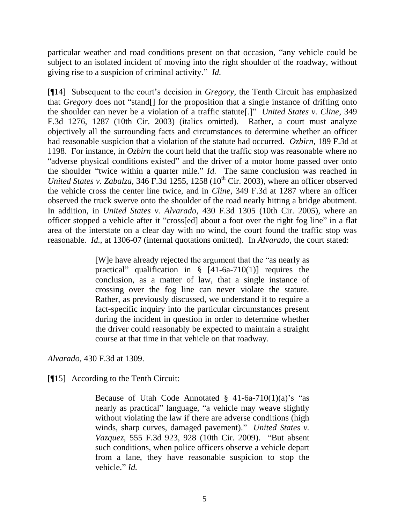particular weather and road conditions present on that occasion, "any vehicle could be subject to an isolated incident of moving into the right shoulder of the roadway, without giving rise to a suspicion of criminal activity." *Id.*

[¶14] Subsequent to the court"s decision in *Gregory,* the Tenth Circuit has emphasized that *Gregory* does not "stand[] for the proposition that a single instance of drifting onto the shoulder can never be a violation of a traffic statute[.]" *United States v. Cline*, 349 F.3d 1276, 1287 (10th Cir. 2003) (italics omitted). Rather, a court must analyze objectively all the surrounding facts and circumstances to determine whether an officer had reasonable suspicion that a violation of the statute had occurred. *Ozbirn,* 189 F.3d at 1198. For instance, in *Ozbirn* the court held that the traffic stop was reasonable where no "adverse physical conditions existed" and the driver of a motor home passed over onto the shoulder "twice within a quarter mile." *Id.* The same conclusion was reached in *United States v. Zabalza*, 346 F.3d 1255, 1258 (10<sup>th</sup> Cir. 2003), where an officer observed the vehicle cross the center line twice, and in *Cline*, 349 F.3d at 1287 where an officer observed the truck swerve onto the shoulder of the road nearly hitting a bridge abutment. In addition, in *United States v. Alvarado*, 430 F.3d 1305 (10th Cir. 2005), where an officer stopped a vehicle after it "cross[ed] about a foot over the right fog line" in a flat area of the interstate on a clear day with no wind, the court found the traffic stop was reasonable. *Id.*, at 1306-07 (internal quotations omitted). In *Alvarado,* the court stated:

> [W]e have already rejected the argument that the "as nearly as practical" qualification in  $\S$  [41-6a-710(1)] requires the conclusion, as a matter of law, that a single instance of crossing over the fog line can never violate the statute. Rather, as previously discussed, we understand it to require a fact-specific inquiry into the particular circumstances present during the incident in question in order to determine whether the driver could reasonably be expected to maintain a straight course at that time in that vehicle on that roadway.

*Alvarado*, 430 F.3d at 1309.

[¶15] According to the Tenth Circuit:

Because of Utah Code Annotated  $\S$  41-6a-710(1)(a)'s "as nearly as practical" language, "a vehicle may weave slightly without violating the law if there are adverse conditions (high winds, sharp curves, damaged pavement)." *United States v. Vazquez*, 555 F.3d 923, 928 (10th Cir. 2009). "But absent such conditions, when police officers observe a vehicle depart from a lane, they have reasonable suspicion to stop the vehicle." *Id.*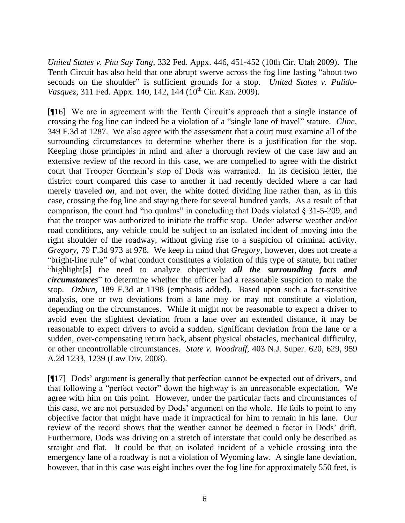*United States v. Phu Say Tang*, 332 Fed. Appx. 446, 451-452 (10th Cir. Utah 2009).The Tenth Circuit has also held that one abrupt swerve across the fog line lasting "about two seconds on the shoulder" is sufficient grounds for a stop. *United States v. Pulido-Vasquez*, 311 Fed. Appx. 140, 142, 144 (10<sup>th</sup> Cir. Kan. 2009).

[¶16] We are in agreement with the Tenth Circuit"s approach that a single instance of crossing the fog line can indeed be a violation of a "single lane of travel" statute. *Cline,* 349 F.3d at 1287. We also agree with the assessment that a court must examine all of the surrounding circumstances to determine whether there is a justification for the stop. Keeping those principles in mind and after a thorough review of the case law and an extensive review of the record in this case, we are compelled to agree with the district court that Trooper Germain"s stop of Dods was warranted. In its decision letter, the district court compared this case to another it had recently decided where a car had merely traveled *on*, and not over, the white dotted dividing line rather than, as in this case, crossing the fog line and staying there for several hundred yards. As a result of that comparison, the court had "no qualms" in concluding that Dods violated § 31-5-209, and that the trooper was authorized to initiate the traffic stop. Under adverse weather and/or road conditions, any vehicle could be subject to an isolated incident of moving into the right shoulder of the roadway, without giving rise to a suspicion of criminal activity. *Gregory*, 79 F.3d 973 at 978. We keep in mind that *Gregory,* however, does not create a "bright-line rule" of what conduct constitutes a violation of this type of statute, but rather "highlight[s] the need to analyze objectively *all the surrounding facts and circumstances*" to determine whether the officer had a reasonable suspicion to make the stop. *Ozbirn*, 189 F.3d at 1198 (emphasis added). Based upon such a fact-sensitive analysis, one or two deviations from a lane may or may not constitute a violation, depending on the circumstances. While it might not be reasonable to expect a driver to avoid even the slightest deviation from a lane over an extended distance, it may be reasonable to expect drivers to avoid a sudden, significant deviation from the lane or a sudden, over-compensating return back, absent physical obstacles, mechanical difficulty, or other uncontrollable circumstances. *State v. Woodruff*, 403 N.J. Super. 620, 629, 959 A.2d 1233, 1239 (Law Div. 2008).

[¶17] Dods" argument is generally that perfection cannot be expected out of drivers, and that following a "perfect vector" down the highway is an unreasonable expectation. We agree with him on this point. However, under the particular facts and circumstances of this case, we are not persuaded by Dods" argument on the whole. He fails to point to any objective factor that might have made it impractical for him to remain in his lane. Our review of the record shows that the weather cannot be deemed a factor in Dods" drift. Furthermore, Dods was driving on a stretch of interstate that could only be described as straight and flat. It could be that an isolated incident of a vehicle crossing into the emergency lane of a roadway is not a violation of Wyoming law. A single lane deviation, however, that in this case was eight inches over the fog line for approximately 550 feet, is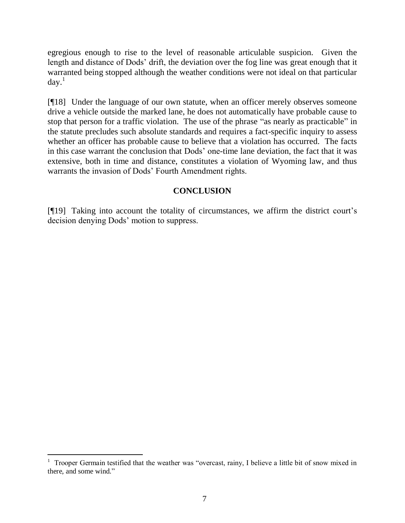egregious enough to rise to the level of reasonable articulable suspicion. Given the length and distance of Dods' drift, the deviation over the fog line was great enough that it warranted being stopped although the weather conditions were not ideal on that particular day. 1

[¶18] Under the language of our own statute, when an officer merely observes someone drive a vehicle outside the marked lane, he does not automatically have probable cause to stop that person for a traffic violation. The use of the phrase "as nearly as practicable" in the statute precludes such absolute standards and requires a fact-specific inquiry to assess whether an officer has probable cause to believe that a violation has occurred. The facts in this case warrant the conclusion that Dods" one-time lane deviation, the fact that it was extensive, both in time and distance, constitutes a violation of Wyoming law, and thus warrants the invasion of Dods" Fourth Amendment rights.

# **CONCLUSION**

[¶19] Taking into account the totality of circumstances, we affirm the district court"s decision denying Dods" motion to suppress.

<sup>&</sup>lt;sup>1</sup> Trooper Germain testified that the weather was "overcast, rainy, I believe a little bit of snow mixed in there, and some wind."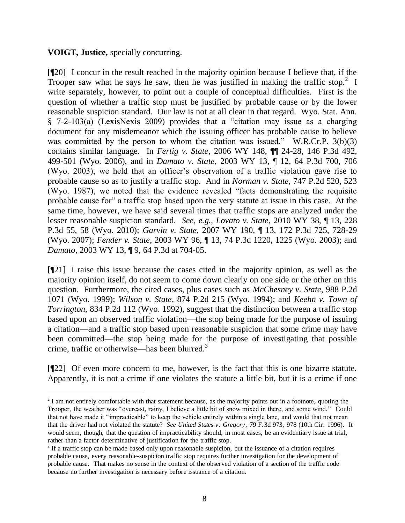## **VOIGT, Justice,** specially concurring.

 $\overline{a}$ 

[¶20] I concur in the result reached in the majority opinion because I believe that, if the Trooper saw what he says he saw, then he was justified in making the traffic stop.<sup>2</sup> I write separately, however, to point out a couple of conceptual difficulties. First is the question of whether a traffic stop must be justified by probable cause or by the lower reasonable suspicion standard. Our law is not at all clear in that regard. Wyo. Stat. Ann. § 7-2-103(a) (LexisNexis 2009) provides that a "citation may issue as a charging document for any misdemeanor which the issuing officer has probable cause to believe was committed by the person to whom the citation was issued." W.R.Cr.P. 3(b)(3) contains similar language. In *Fertig v. State*, 2006 WY 148, ¶¶ 24-28, 146 P.3d 492, 499-501 (Wyo. 2006), and in *Damato v. State*, 2003 WY 13, ¶ 12, 64 P.3d 700, 706 (Wyo. 2003), we held that an officer"s observation of a traffic violation gave rise to probable cause so as to justify a traffic stop. And in *Norman v. State*, 747 P.2d 520, 523 (Wyo. 1987), we noted that the evidence revealed "facts demonstrating the requisite probable cause for" a traffic stop based upon the very statute at issue in this case. At the same time, however, we have said several times that traffic stops are analyzed under the lesser reasonable suspicion standard. *See, e.g., Lovato v. State*, 2010 WY 38, ¶ 13, 228 P.3d 55, 58 (Wyo. 2010); *Garvin v. State*, 2007 WY 190, ¶ 13, 172 P.3d 725, 728-29 (Wyo. 2007); *Fender v. State*, 2003 WY 96, ¶ 13, 74 P.3d 1220, 1225 (Wyo. 2003); and *Damato*, 2003 WY 13, ¶ 9, 64 P.3d at 704-05.

[¶21] I raise this issue because the cases cited in the majority opinion, as well as the majority opinion itself, do not seem to come down clearly on one side or the other on this question. Furthermore, the cited cases, plus cases such as *McChesney v. State*, 988 P.2d 1071 (Wyo. 1999); *Wilson v. State*, 874 P.2d 215 (Wyo. 1994); and *Keehn v. Town of Torrington*, 834 P.2d 112 (Wyo. 1992), suggest that the distinction between a traffic stop based upon an observed traffic violation—the stop being made for the purpose of issuing a citation—and a traffic stop based upon reasonable suspicion that some crime may have been committed—the stop being made for the purpose of investigating that possible crime, traffic or otherwise—has been blurred.<sup>3</sup>

[¶22] Of even more concern to me, however, is the fact that this is one bizarre statute. Apparently, it is not a crime if one violates the statute a little bit, but it is a crime if one

 $2<sup>2</sup>$  I am not entirely comfortable with that statement because, as the majority points out in a footnote, quoting the Trooper, the weather was "overcast, rainy, I believe a little bit of snow mixed in there, and some wind." Could that not have made it "impracticable" to keep the vehicle entirely within a single lane, and would that not mean that the driver had not violated the statute? *See United States v. Gregory*, 79 F.3d 973, 978 (10th Cir. 1996). It would seem, though, that the question of impracticability should, in most cases, be an evidentiary issue at trial, rather than a factor determinative of justification for the traffic stop.

<sup>&</sup>lt;sup>3</sup> If a traffic stop can be made based only upon reasonable suspicion, but the issuance of a citation requires probable cause, every reasonable-suspicion traffic stop requires further investigation for the development of probable cause. That makes no sense in the context of the observed violation of a section of the traffic code because no further investigation is necessary before issuance of a citation.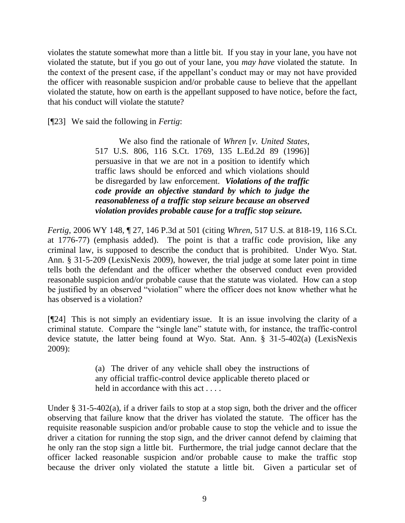violates the statute somewhat more than a little bit. If you stay in your lane, you have not violated the statute, but if you go out of your lane, you *may have* violated the statute. In the context of the present case, if the appellant"s conduct may or may not have provided the officer with reasonable suspicion and/or probable cause to believe that the appellant violated the statute, how on earth is the appellant supposed to have notice, before the fact, that his conduct will violate the statute?

[¶23] We said the following in *Fertig*:

We also find the rationale of *Whren* [*v. United States*, 517 U.S. 806, 116 S.Ct. 1769, 135 L.Ed.2d 89 (1996)] persuasive in that we are not in a position to identify which traffic laws should be enforced and which violations should be disregarded by law enforcement. *Violations of the traffic code provide an objective standard by which to judge the reasonableness of a traffic stop seizure because an observed violation provides probable cause for a traffic stop seizure.*

*Fertig*, 2006 WY 148, ¶ 27, 146 P.3d at 501 (citing *Whren*, 517 U.S. at 818-19, 116 S.Ct. at 1776-77) (emphasis added). The point is that a traffic code provision, like any criminal law, is supposed to describe the conduct that is prohibited. Under Wyo. Stat. Ann. § 31-5-209 (LexisNexis 2009), however, the trial judge at some later point in time tells both the defendant and the officer whether the observed conduct even provided reasonable suspicion and/or probable cause that the statute was violated. How can a stop be justified by an observed "violation" where the officer does not know whether what he has observed is a violation?

[¶24] This is not simply an evidentiary issue. It is an issue involving the clarity of a criminal statute. Compare the "single lane" statute with, for instance, the traffic-control device statute, the latter being found at Wyo. Stat. Ann. § 31-5-402(a) (LexisNexis 2009):

> (a) The driver of any vehicle shall obey the instructions of any official traffic-control device applicable thereto placed or held in accordance with this act....

Under § 31-5-402(a), if a driver fails to stop at a stop sign, both the driver and the officer observing that failure know that the driver has violated the statute. The officer has the requisite reasonable suspicion and/or probable cause to stop the vehicle and to issue the driver a citation for running the stop sign, and the driver cannot defend by claiming that he only ran the stop sign a little bit. Furthermore, the trial judge cannot declare that the officer lacked reasonable suspicion and/or probable cause to make the traffic stop because the driver only violated the statute a little bit. Given a particular set of